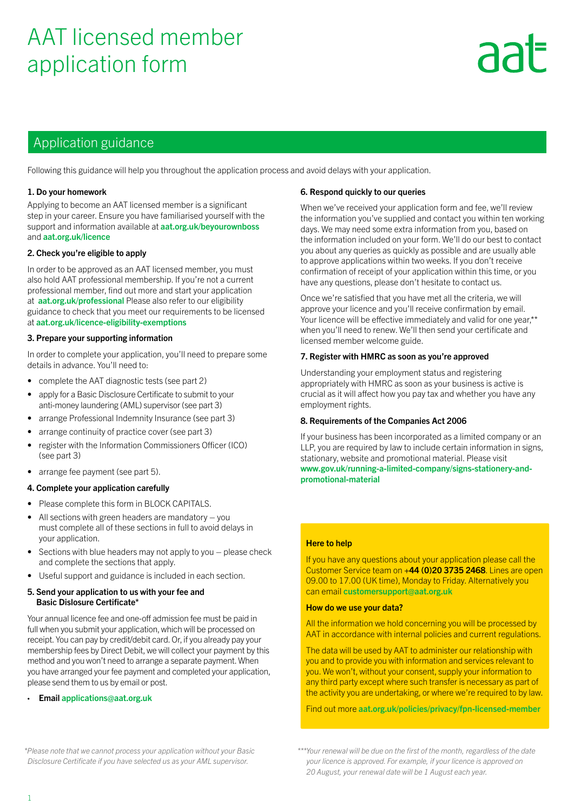# AAT licensed member application form

# **AA**

## Application guidance

Following this guidance will help you throughout the application process and avoid delays with your application.

#### 1. Do your homework

Applying to become an AAT licensed member is a significant step in your career. Ensure you have familiarised yourself with the support and information available at **[aat.org.uk/beyourownboss](https://aat.org.uk/beyourownboss)** and [aat.org.uk/licence](http://aat.org.uk/licence)

#### 2. Check you're eligible to apply

In order to be approved as an AAT licensed member, you must also hold AAT professional membership. If you're not a current professional member, find out more and start your application at [aat.org.uk/professional](http://www.aat.org.uk/professional) Please also refer to our eligibility guidance to check that you meet our requirements to be licensed at [aat.org.uk/licence-eligibility-exemptions](https://www.aat.org.uk/licence-eligibility-exemptions)

#### 3. Prepare your supporting information

In order to complete your application, you'll need to prepare some details in advance. You'll need to:

- complete the AAT diagnostic tests (see part 2)
- apply for a Basic Disclosure Certificate to submit to your anti-money laundering (AML) supervisor (see part 3)
- arrange Professional Indemnity Insurance (see part 3)
- arrange continuity of practice cover (see part 3)
- register with the Information Commissioners Officer (ICO) (see part 3)
- arrange fee payment (see part 5).

#### 4. Complete your application carefully

- Please complete this form in BLOCK CAPITALS.
- All sections with green headers are mandatory  $-$  you must complete all of these sections in full to avoid delays in your application.
- Sections with blue headers may not apply to you please check and complete the sections that apply.
- Useful support and guidance is included in each section.

#### 5. Send your application to us with your fee and Basic Dislosure Certificate\*

Your annual licence fee and one-off admission fee must be paid in full when you submit your application, which will be processed on receipt. You can pay by credit/debit card. Or, if you already pay your membership fees by Direct Debit, we will collect your payment by this method and you won't need to arrange a separate payment. When you have arranged your fee payment and completed your application, please send them to us by email or post.

#### • Email [applications@aat.org.uk](mailto:?subject=)

#### 6. Respond quickly to our queries

When we've received your application form and fee, we'll review the information you've supplied and contact you within ten working days. We may need some extra information from you, based on the information included on your form. We'll do our best to contact you about any queries as quickly as possible and are usually able to approve applications within two weeks. If you don't receive confirmation of receipt of your application within this time, or you have any questions, please don't hesitate to contact us.

Once we're satisfied that you have met all the criteria, we will approve your licence and you'll receive confirmation by email. Your licence will be effective immediately and valid for one vear.\*\* when you'll need to renew. We'll then send your certificate and licensed member welcome guide.

#### 7. Register with HMRC as soon as you're approved

Understanding your employment status and registering appropriately with HMRC as soon as your business is active is crucial as it will affect how you pay tax and whether you have any employment rights.

#### 8. Requirements of the Companies Act 2006

If your business has been incorporated as a limited company or an LLP, you are required by law to include certain information in signs, stationary, website and promotional material. Please visit [www.gov.uk/running-a-limited-company/signs-stationery-and](http://www.gov.uk/running-a-limited-company/signs-stationery-and-promotional-material)[promotional-material](http://www.gov.uk/running-a-limited-company/signs-stationery-and-promotional-material)

#### Here to help

If you have any questions about your application please call the Customer Service team on +44 (0)20 3735 2468. Lines are open 09.00 to 17.00 (UK time), Monday to Friday. Alternatively you can email customersupport@aat.org.uk

#### How do we use your data?

All the information we hold concerning you will be processed by AAT in accordance with internal policies and current regulations.

The data will be used by AAT to administer our relationship with you and to provide you with information and services relevant to you. We won't, without your consent, supply your information to any third party except where such transfer is necessary as part of the activity you are undertaking, or where we're required to by law.

Find out more [aat.org.uk/policies/privacy/fpn-licensed-member](https://aat.org.uk/policies/privacy/fpn-licensed-member)

*\*Please note that we cannot process your application without your Basic Disclosure Certificate if you have selected us as your AML supervisor.* 

*\*\*\*Your renewal will be due on the first of the month, regardless of the date your licence is approved. For example, if your licence is approved on 20 August, your renewal date will be 1 August each year.*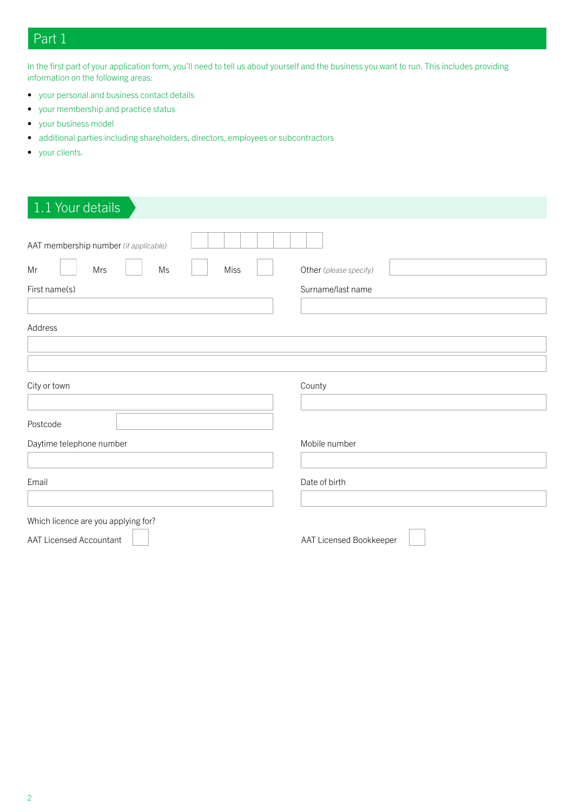# Part 1

In the first part of your application form, you'll need to tell us about yourself and the business you want to run. This includes providing information on the following areas:

- your personal and business contact details
- your membership and practice status
- your business model
- additional parties including shareholders, directors, employees or subcontractors
- your clients.

| 1.1 Your details                      |                         |
|---------------------------------------|-------------------------|
| AAT membership number (if applicable) |                         |
| $\mathsf{Ms}$<br>Mr<br>Mrs<br>Miss    | Other (please specify)  |
| First name(s)                         | Surname/last name       |
|                                       |                         |
| Address                               |                         |
|                                       |                         |
|                                       |                         |
| City or town                          | County                  |
|                                       |                         |
| Postcode                              |                         |
| Daytime telephone number              | Mobile number           |
|                                       |                         |
| Email                                 | Date of birth           |
|                                       |                         |
| Which licence are you applying for?   |                         |
| <b>AAT Licensed Accountant</b>        | AAT Licensed Bookkeeper |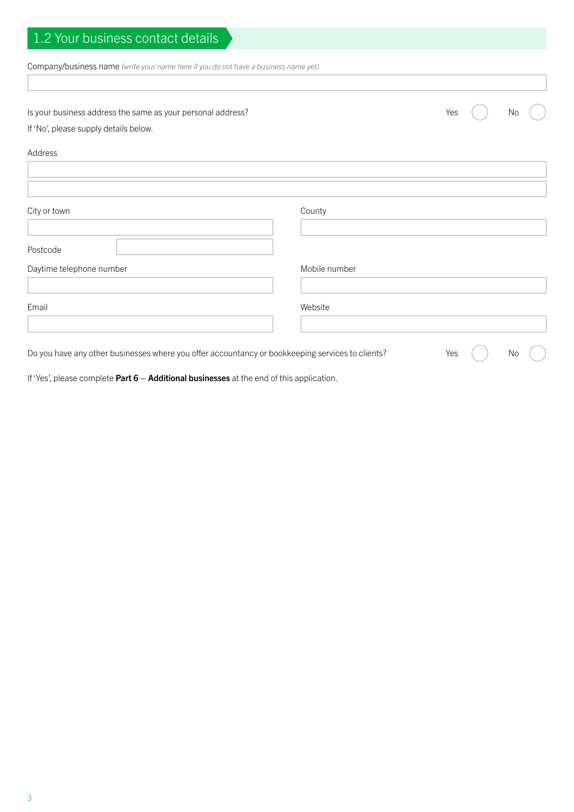| 1.2 Your business contact details                                                                |               |     |    |
|--------------------------------------------------------------------------------------------------|---------------|-----|----|
| Company/business name (write your name here if you do not have a business name yet)              |               |     |    |
|                                                                                                  |               |     |    |
| Is your business address the same as your personal address?                                      |               | Yes | No |
| If 'No', please supply details below.                                                            |               |     |    |
| Address                                                                                          |               |     |    |
|                                                                                                  |               |     |    |
|                                                                                                  |               |     |    |
| City or town                                                                                     | County        |     |    |
|                                                                                                  |               |     |    |
| Postcode                                                                                         |               |     |    |
| Daytime telephone number                                                                         | Mobile number |     |    |
| Email                                                                                            | Website       |     |    |
|                                                                                                  |               |     |    |
| Do you have any other businesses where you offer accountancy or bookkeeping services to clients? |               | Yes | No |

If 'Yes', please complete Part  $6 -$  Additional businesses at the end of this application.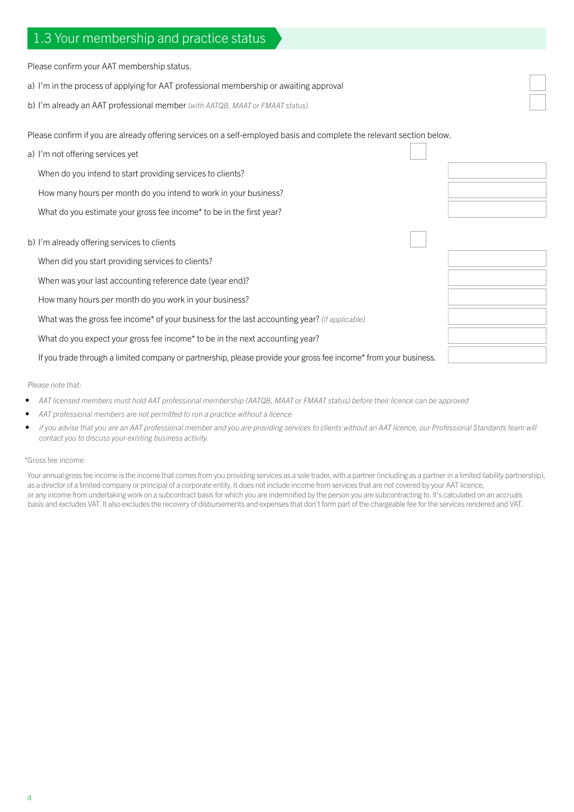## 1.3 Your membership and practice status

Please confirm your AAT membership status.

- a) I'm in the process of applying for AAT professional membership or awaiting approval
- b) I'm already an AAT professional member *(with AATQB, MAAT or FMAAT status)*

Please confirm if you are already offering services on a self-employed basis and complete the relevant section below.

| a) I'm not offering services yet                                                                                 |  |
|------------------------------------------------------------------------------------------------------------------|--|
| When do you intend to start providing services to clients?                                                       |  |
| How many hours per month do you intend to work in your business?                                                 |  |
| What do you estimate your gross fee income* to be in the first year?                                             |  |
| b) I'm already offering services to clients                                                                      |  |
| When did you start providing services to clients?                                                                |  |
| When was your last accounting reference date (year end)?                                                         |  |
| How many hours per month do you work in your business?                                                           |  |
| What was the gross fee income* of your business for the last accounting year? (if applicable)                    |  |
| What do you expect your gross fee income* to be in the next accounting year?                                     |  |
| If you trade through a limited company or partnership, please provide your gross fee income* from your business. |  |

#### *Please note that:*

- *• AAT licensed members must hold AAT professional membership (AATQB, MAAT or FMAAT status) before their licence can be approved*
- *• AAT professional members are not permitted to run a practice without a licence*
- *if you advise that you are an AAT professional member and you are providing services to clients without an AAT licence, our Professional Standards team will contact you to discuss your existing business activity.*

#### \*Gross fee income

Your annual gross fee income is the income that comes from you providing services as a sole trader, with a partner (including as a partner in a limited liability partnership), as a director of a limited company or principal of a corporate entity. It does not include income from services that are not covered by your AAT licence, or any income from undertaking work on a subcontract basis for which you are indemnified by the person you are subcontracting to. It's calculated on an accruals basis and excludes VAT. It also excludes the recovery of disbursements and expenses that don't form part of the chargeable fee for the services rendered and VAT.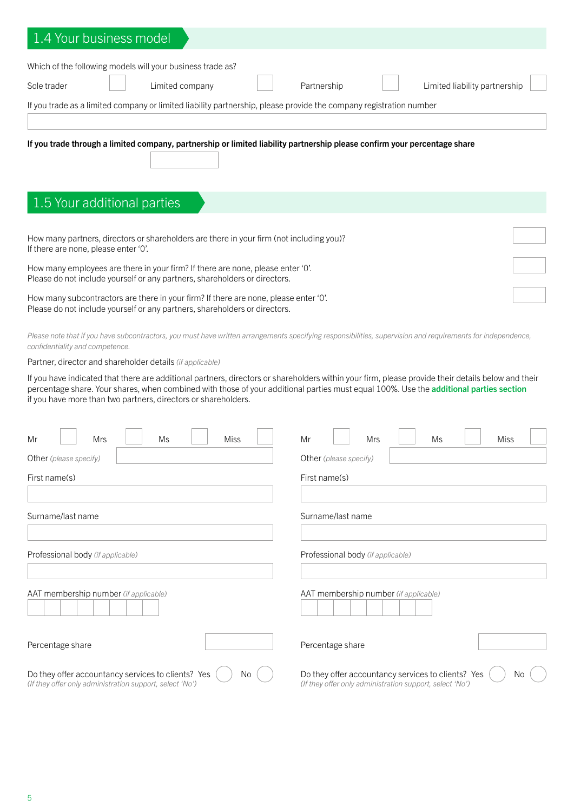| .4 Your business model                                                                                                                                                                                   |                                                          |  |  |  |
|----------------------------------------------------------------------------------------------------------------------------------------------------------------------------------------------------------|----------------------------------------------------------|--|--|--|
| Which of the following models will your business trade as?                                                                                                                                               |                                                          |  |  |  |
| Sole trader<br>Limited company                                                                                                                                                                           | Partnership<br>Limited liability partnership             |  |  |  |
|                                                                                                                                                                                                          |                                                          |  |  |  |
| If you trade as a limited company or limited liability partnership, please provide the company registration number                                                                                       |                                                          |  |  |  |
|                                                                                                                                                                                                          |                                                          |  |  |  |
| If you trade through a limited company, partnership or limited liability partnership please confirm your percentage share                                                                                |                                                          |  |  |  |
|                                                                                                                                                                                                          |                                                          |  |  |  |
|                                                                                                                                                                                                          |                                                          |  |  |  |
| 1.5 Your additional parties                                                                                                                                                                              |                                                          |  |  |  |
|                                                                                                                                                                                                          |                                                          |  |  |  |
| How many partners, directors or shareholders are there in your firm (not including you)?                                                                                                                 |                                                          |  |  |  |
| If there are none, please enter '0'.                                                                                                                                                                     |                                                          |  |  |  |
| How many employees are there in your firm? If there are none, please enter 'O'.<br>Please do not include yourself or any partners, shareholders or directors.                                            |                                                          |  |  |  |
|                                                                                                                                                                                                          |                                                          |  |  |  |
| How many subcontractors are there in your firm? If there are none, please enter 'O'.<br>Please do not include yourself or any partners, shareholders or directors.                                       |                                                          |  |  |  |
|                                                                                                                                                                                                          |                                                          |  |  |  |
| Please note that if you have subcontractors, you must have written arrangements specifying responsibilities, supervision and requirements for independence,<br>confidentiality and competence.           |                                                          |  |  |  |
| Partner, director and shareholder details (if applicable)                                                                                                                                                |                                                          |  |  |  |
| If you have indicated that there are additional partners, directors or shareholders within your firm, please provide their details below and their                                                       |                                                          |  |  |  |
| percentage share. Your shares, when combined with those of your additional parties must equal 100%. Use the additional parties section<br>if you have more than two partners, directors or shareholders. |                                                          |  |  |  |
|                                                                                                                                                                                                          |                                                          |  |  |  |
|                                                                                                                                                                                                          |                                                          |  |  |  |
| Mrs<br>Miss<br>Mr<br>Ms                                                                                                                                                                                  | Mr<br>Mrs<br>Ms<br>Miss                                  |  |  |  |
| Other (please specify)                                                                                                                                                                                   | Other (please specify)                                   |  |  |  |
| First name(s)                                                                                                                                                                                            | First name(s)                                            |  |  |  |
|                                                                                                                                                                                                          |                                                          |  |  |  |
| Surname/last name                                                                                                                                                                                        | Surname/last name                                        |  |  |  |
|                                                                                                                                                                                                          |                                                          |  |  |  |
| Professional body (if applicable)                                                                                                                                                                        | Professional body (if applicable)                        |  |  |  |
|                                                                                                                                                                                                          |                                                          |  |  |  |
| AAT membership number (if applicable)                                                                                                                                                                    | AAT membership number (if applicable)                    |  |  |  |
|                                                                                                                                                                                                          |                                                          |  |  |  |
|                                                                                                                                                                                                          |                                                          |  |  |  |
| Percentage share                                                                                                                                                                                         | Percentage share                                         |  |  |  |
|                                                                                                                                                                                                          |                                                          |  |  |  |
| Do they offer accountancy services to clients? Yes<br>No.                                                                                                                                                | Do they offer accountancy services to clients? Yes<br>No |  |  |  |
| (If they offer only administration support, select 'No')                                                                                                                                                 | (If they offer only administration support, select 'No') |  |  |  |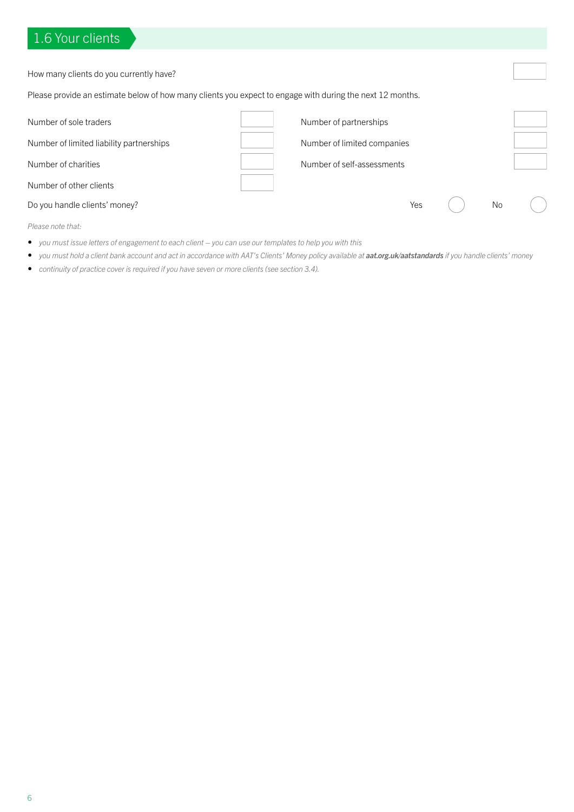# 1.6 Your clients

| How many clients do you currently have?                                                                   |                             |  |           |  |
|-----------------------------------------------------------------------------------------------------------|-----------------------------|--|-----------|--|
| Please provide an estimate below of how many clients you expect to engage with during the next 12 months. |                             |  |           |  |
| Number of sole traders                                                                                    | Number of partnerships      |  |           |  |
| Number of limited liability partnerships                                                                  | Number of limited companies |  |           |  |
| Number of charities                                                                                       | Number of self-assessments  |  |           |  |
| Number of other clients                                                                                   |                             |  |           |  |
| Do you handle clients' money?                                                                             | Yes                         |  | <b>No</b> |  |
|                                                                                                           |                             |  |           |  |

*Please note that:*

- *• you must issue letters of engagement to each client you can use our templates to help you with this*
- *• you must hold a client bank account and act in accordance with AAT's Clients' Money policy available at [aat.org.uk/aatstandards](https://aat.org.uk/aatstandards) if you handle clients' money*
- *• continuity of practice cover is required if you have seven or more clients (see section 3.4).*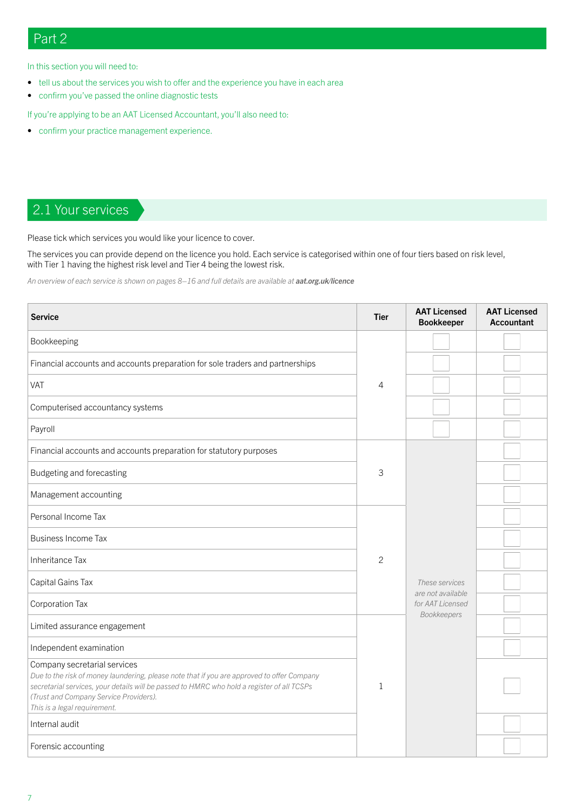## Part 2

In this section you will need to:

- tell us about the services you wish to offer and the experience you have in each area
- confirm you've passed the online diagnostic tests

If you're applying to be an AAT Licensed Accountant, you'll also need to:

• confirm your practice management experience.

# 2.1 Your services

Please tick which services you would like your licence to cover.

The services you can provide depend on the licence you hold. Each service is categorised within one of four tiers based on risk level, with Tier 1 having the highest risk level and Tier 4 being the lowest risk.

An overview of each service is shown on pages 8–16 and full details are available at **[aat.org.uk/licence](https://aat.org.uk/licence)** 

| <b>Service</b>                                                                                                                                                                                                                                                                                     | <b>Tier</b>    | <b>AAT Licensed</b><br><b>Bookkeeper</b> | <b>AAT Licensed</b><br><b>Accountant</b> |
|----------------------------------------------------------------------------------------------------------------------------------------------------------------------------------------------------------------------------------------------------------------------------------------------------|----------------|------------------------------------------|------------------------------------------|
| Bookkeeping                                                                                                                                                                                                                                                                                        |                |                                          |                                          |
| Financial accounts and accounts preparation for sole traders and partnerships                                                                                                                                                                                                                      |                |                                          |                                          |
| VAT                                                                                                                                                                                                                                                                                                | 4              |                                          |                                          |
| Computerised accountancy systems                                                                                                                                                                                                                                                                   |                |                                          |                                          |
| Payroll                                                                                                                                                                                                                                                                                            |                |                                          |                                          |
| Financial accounts and accounts preparation for statutory purposes                                                                                                                                                                                                                                 |                |                                          |                                          |
| Budgeting and forecasting                                                                                                                                                                                                                                                                          | 3              |                                          |                                          |
| Management accounting                                                                                                                                                                                                                                                                              |                |                                          |                                          |
| Personal Income Tax                                                                                                                                                                                                                                                                                |                |                                          |                                          |
| <b>Business Income Tax</b>                                                                                                                                                                                                                                                                         |                |                                          |                                          |
| Inheritance Tax                                                                                                                                                                                                                                                                                    | $\overline{c}$ |                                          |                                          |
| Capital Gains Tax                                                                                                                                                                                                                                                                                  |                | These services<br>are not available      |                                          |
| Corporation Tax                                                                                                                                                                                                                                                                                    |                |                                          |                                          |
| Limited assurance engagement                                                                                                                                                                                                                                                                       |                | Bookkeepers                              |                                          |
| Independent examination                                                                                                                                                                                                                                                                            |                |                                          |                                          |
| Company secretarial services<br>Due to the risk of money laundering, please note that if you are approved to offer Company<br>secretarial services, your details will be passed to HMRC who hold a register of all TCSPs<br>(Trust and Company Service Providers).<br>This is a legal requirement. |                |                                          |                                          |
| Internal audit                                                                                                                                                                                                                                                                                     |                |                                          |                                          |
| Forensic accounting                                                                                                                                                                                                                                                                                |                |                                          |                                          |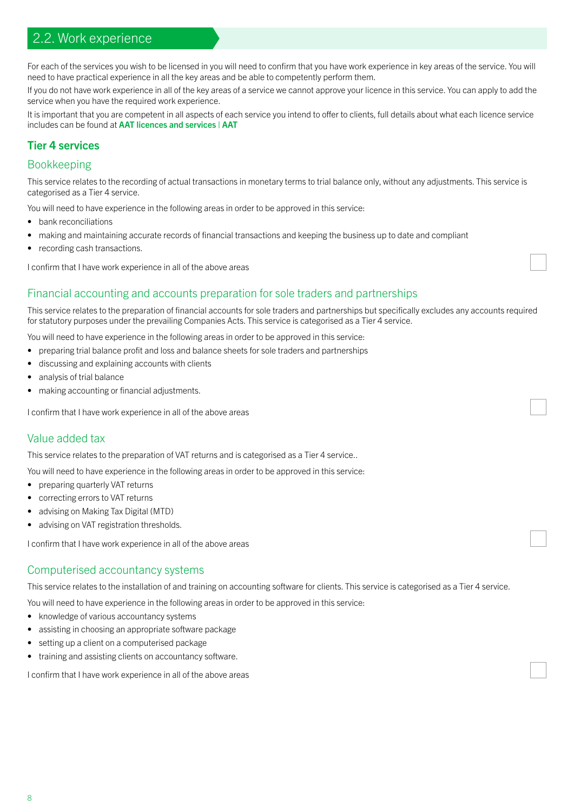## 2.2. Work experience

For each of the services you wish to be licensed in you will need to confirm that you have work experience in key areas of the service. You will need to have practical experience in all the key areas and be able to competently perform them.

If you do not have work experience in all of the key areas of a service we cannot approve your licence in this service. You can apply to add the service when you have the required work experience.

It is important that you are competent in all aspects of each service you intend to offer to clients, full details about what each licence service includes can be found at [AAT licences and services | AAT](https://www.aat.org.uk/membership/licensed-membership-be-your-own-boss/licences-and-services)

## Tier 4 services

#### Bookkeeping

This service relates to the recording of actual transactions in monetary terms to trial balance only, without any adjustments. This service is categorised as a Tier 4 service.

You will need to have experience in the following areas in order to be approved in this service:

- bank reconciliations
- making and maintaining accurate records of financial transactions and keeping the business up to date and compliant
- recording cash transactions.

I confirm that I have work experience in all of the above areas

#### Financial accounting and accounts preparation for sole traders and partnerships

This service relates to the preparation of financial accounts for sole traders and partnerships but specifically excludes any accounts required for statutory purposes under the prevailing Companies Acts. This service is categorised as a Tier 4 service.

You will need to have experience in the following areas in order to be approved in this service:

- preparing trial balance profit and loss and balance sheets for sole traders and partnerships
- discussing and explaining accounts with clients
- analysis of trial balance
- making accounting or financial adjustments.

I confirm that I have work experience in all of the above areas

#### Value added tax

This service relates to the preparation of VAT returns and is categorised as a Tier 4 service..

You will need to have experience in the following areas in order to be approved in this service:

- preparing quarterly VAT returns
- correcting errors to VAT returns
- advising on Making Tax Digital (MTD)
- advising on VAT registration thresholds.

I confirm that I have work experience in all of the above areas

#### Computerised accountancy systems

This service relates to the installation of and training on accounting software for clients. This service is categorised as a Tier 4 service.

You will need to have experience in the following areas in order to be approved in this service:

- knowledge of various accountancy systems
- assisting in choosing an appropriate software package
- setting up a client on a computerised package
- training and assisting clients on accountancy software.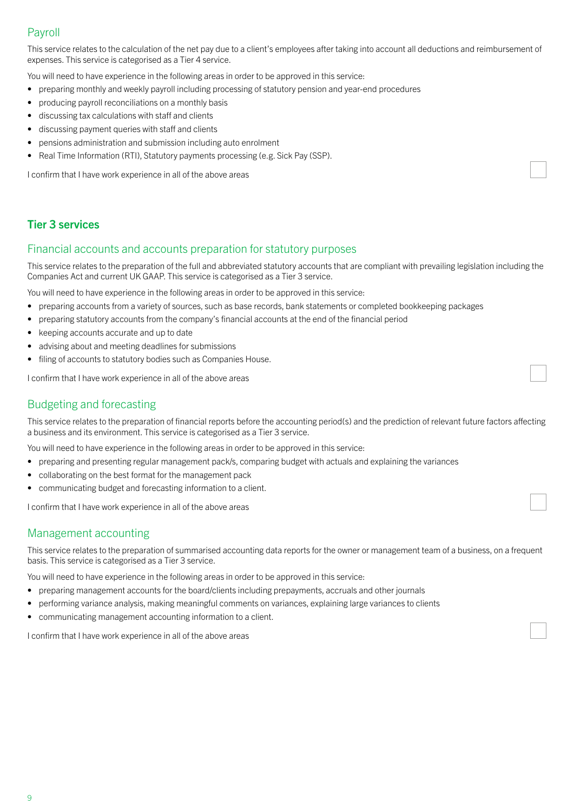## Payroll

This service relates to the calculation of the net pay due to a client's employees after taking into account all deductions and reimbursement of expenses. This service is categorised as a Tier 4 service.

You will need to have experience in the following areas in order to be approved in this service:

- preparing monthly and weekly payroll including processing of statutory pension and year-end procedures
- producing payroll reconciliations on a monthly basis
- discussing tax calculations with staff and clients
- discussing payment queries with staff and clients
- pensions administration and submission including auto enrolment
- Real Time Information (RTI), Statutory payments processing (e.g. Sick Pay (SSP).

I confirm that I have work experience in all of the above areas

#### Tier 3 services

#### Financial accounts and accounts preparation for statutory purposes

This service relates to the preparation of the full and abbreviated statutory accounts that are compliant with prevailing legislation including the Companies Act and current UK GAAP. This service is categorised as a Tier 3 service.

You will need to have experience in the following areas in order to be approved in this service:

- preparing accounts from a variety of sources, such as base records, bank statements or completed bookkeeping packages
- preparing statutory accounts from the company's financial accounts at the end of the financial period
- keeping accounts accurate and up to date
- advising about and meeting deadlines for submissions
- filing of accounts to statutory bodies such as Companies House.

I confirm that I have work experience in all of the above areas

#### Budgeting and forecasting

This service relates to the preparation of financial reports before the accounting period(s) and the prediction of relevant future factors affecting a business and its environment. This service is categorised as a Tier 3 service.

You will need to have experience in the following areas in order to be approved in this service:

- preparing and presenting regular management pack/s, comparing budget with actuals and explaining the variances
- collaborating on the best format for the management pack
- communicating budget and forecasting information to a client.

I confirm that I have work experience in all of the above areas

#### Management accounting

This service relates to the preparation of summarised accounting data reports for the owner or management team of a business, on a frequent basis. This service is categorised as a Tier 3 service.

You will need to have experience in the following areas in order to be approved in this service:

- preparing management accounts for the board/clients including prepayments, accruals and other journals
- performing variance analysis, making meaningful comments on variances, explaining large variances to clients
- communicating management accounting information to a client.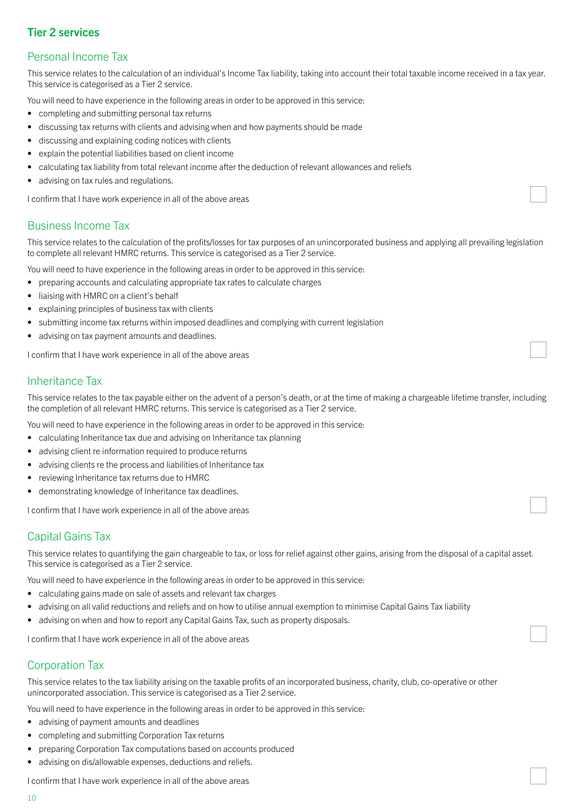## Tier 2 services

## Personal Income Tax

This service relates to the calculation of an individual's Income Tax liability, taking into account their total taxable income received in a tax year. This service is categorised as a Tier 2 service.

You will need to have experience in the following areas in order to be approved in this service:

- completing and submitting personal tax returns
- discussing tax returns with clients and advising when and how payments should be made
- discussing and explaining coding notices with clients
- explain the potential liabilities based on client income
- calculating tax liability from total relevant income after the deduction of relevant allowances and reliefs
- advising on tax rules and regulations.

I confirm that I have work experience in all of the above areas

## Business Income Tax

This service relates to the calculation of the profits/losses for tax purposes of an unincorporated business and applying all prevailing legislation to complete all relevant HMRC returns. This service is categorised as a Tier 2 service.

You will need to have experience in the following areas in order to be approved in this service:

- preparing accounts and calculating appropriate tax rates to calculate charges
- liaising with HMRC on a client's behalf
- explaining principles of business tax with clients
- submitting income tax returns within imposed deadlines and complying with current legislation
- advising on tax payment amounts and deadlines.

I confirm that I have work experience in all of the above areas

## Inheritance Tax

This service relates to the tax payable either on the advent of a person's death, or at the time of making a chargeable lifetime transfer, including the completion of all relevant HMRC returns. This service is categorised as a Tier 2 service.

You will need to have experience in the following areas in order to be approved in this service:

- calculating Inheritance tax due and advising on Inheritance tax planning
- advising client re information required to produce returns
- advising clients re the process and liabilities of Inheritance tax
- reviewing Inheritance tax returns due to HMRC
- demonstrating knowledge of Inheritance tax deadlines.

I confirm that I have work experience in all of the above areas

## Capital Gains Tax

This service relates to quantifying the gain chargeable to tax, or loss for relief against other gains, arising from the disposal of a capital asset. This service is categorised as a Tier 2 service.

You will need to have experience in the following areas in order to be approved in this service:

- calculating gains made on sale of assets and relevant tax charges
- advising on all valid reductions and reliefs and on how to utilise annual exemption to minimise Capital Gains Tax liability
- advising on when and how to report any Capital Gains Tax, such as property disposals.

I confirm that I have work experience in all of the above areas

## Corporation Tax

This service relates to the tax liability arising on the taxable profits of an incorporated business, charity, club, co-operative or other unincorporated association. This service is categorised as a Tier 2 service.

- You will need to have experience in the following areas in order to be approved in this service:
- advising of payment amounts and deadlines
- completing and submitting Corporation Tax returns
- preparing Corporation Tax computations based on accounts produced
- advising on dis/allowable expenses, deductions and reliefs.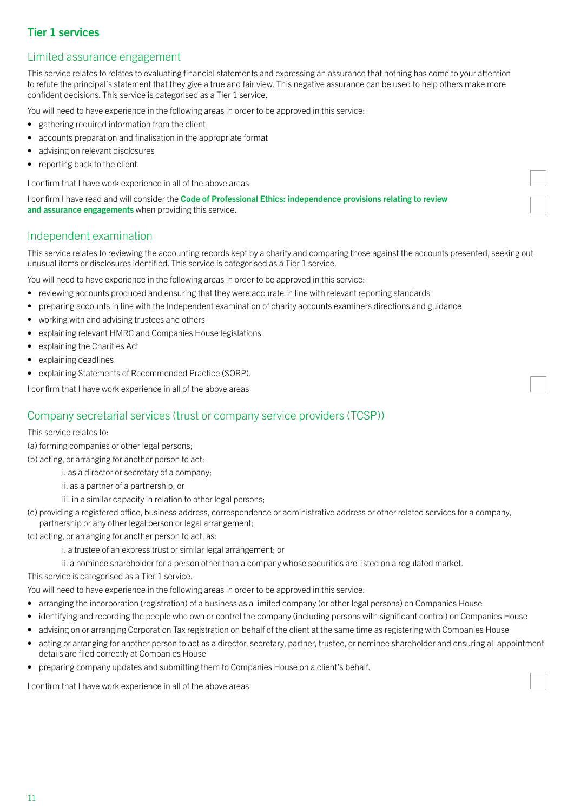## Tier 1 services

## Limited assurance engagement

This service relates to relates to evaluating financial statements and expressing an assurance that nothing has come to your attention to refute the principal's statement that they give a true and fair view. This negative assurance can be used to help others make more confident decisions. This service is categorised as a Tier 1 service.

You will need to have experience in the following areas in order to be approved in this service:

- gathering required information from the client
- accounts preparation and finalisation in the appropriate format
- advising on relevant disclosures
- reporting back to the client.

I confirm that I have work experience in all of the above areas

I confirm I have read and will consider the Code of Professional Ethics: independence provisions relating to review [and assurance engagements](https://www.aat.org.uk/prod/s3fs-public/assets/Code-Professional-Ethics-independence-provisions-review-assurance-engagements.pdf) when providing this service.

#### Independent examination

This service relates to reviewing the accounting records kept by a charity and comparing those against the accounts presented, seeking out unusual items or disclosures identified. This service is categorised as a Tier 1 service.

You will need to have experience in the following areas in order to be approved in this service:

- reviewing accounts produced and ensuring that they were accurate in line with relevant reporting standards
- preparing accounts in line with the Independent examination of charity accounts examiners directions and guidance
- working with and advising trustees and others
- explaining relevant HMRC and Companies House legislations
- explaining the Charities Act
- explaining deadlines
- explaining Statements of Recommended Practice (SORP).

I confirm that I have work experience in all of the above areas

#### Company secretarial services (trust or company service providers (TCSP))

#### This service relates to:

(a) forming companies or other legal persons;

(b) acting, or arranging for another person to act:

- i. as a director or secretary of a company;
- ii. as a partner of a partnership; or
- iii. in a similar capacity in relation to other legal persons;
- (c) providing a registered office, business address, correspondence or administrative address or other related services for a company, partnership or any other legal person or legal arrangement;
- (d) acting, or arranging for another person to act, as:
	- i. a trustee of an express trust or similar legal arrangement; or
	- ii. a nominee shareholder for a person other than a company whose securities are listed on a regulated market.

This service is categorised as a Tier 1 service.

You will need to have experience in the following areas in order to be approved in this service:

- arranging the incorporation (registration) of a business as a limited company (or other legal persons) on Companies House
- identifying and recording the people who own or control the company (including persons with significant control) on Companies House
- advising on or arranging Corporation Tax registration on behalf of the client at the same time as registering with Companies House
- acting or arranging for another person to act as a director, secretary, partner, trustee, or nominee shareholder and ensuring all appointment details are filed correctly at Companies House
- preparing company updates and submitting them to Companies House on a client's behalf.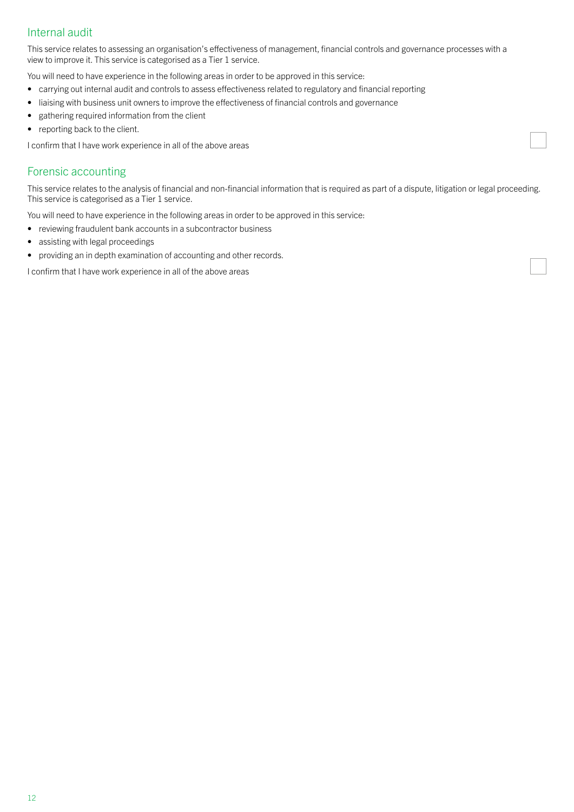## Internal audit

This service relates to assessing an organisation's effectiveness of management, financial controls and governance processes with a view to improve it. This service is categorised as a Tier 1 service.

You will need to have experience in the following areas in order to be approved in this service:

- carrying out internal audit and controls to assess effectiveness related to regulatory and financial reporting
- liaising with business unit owners to improve the effectiveness of financial controls and governance
- gathering required information from the client
- reporting back to the client.

I confirm that I have work experience in all of the above areas

#### Forensic accounting

This service relates to the analysis of financial and non-financial information that is required as part of a dispute, litigation or legal proceeding. This service is categorised as a Tier 1 service.

You will need to have experience in the following areas in order to be approved in this service:

- reviewing fraudulent bank accounts in a subcontractor business
- assisting with legal proceedings
- providing an in depth examination of accounting and other records.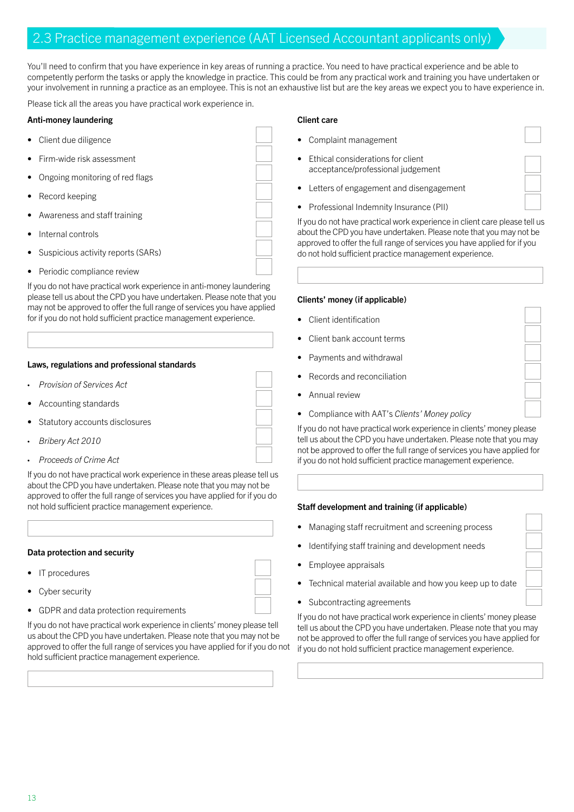## 2.3 Practice management experience (AAT Licensed Accountant applicants only)

You'll need to confirm that you have experience in key areas of running a practice. You need to have practical experience and be able to competently perform the tasks or apply the knowledge in practice. This could be from any practical work and training you have undertaken or your involvement in running a practice as an employee. This is not an exhaustive list but are the key areas we expect you to have experience in.

Please tick all the areas you have practical work experience in.

#### Anti-money laundering

- Client due diligence
- Firm-wide risk assessment
- Ongoing monitoring of red flags
- Record keeping
- Awareness and staff training
- Internal controls
- Suspicious activity reports (SARs)
- Periodic compliance review

If you do not have practical work experience in anti-money laundering please tell us about the CPD you have undertaken. Please note that you may not be approved to offer the full range of services you have applied for if you do not hold sufficient practice management experience.

#### Laws, regulations and professional standards

- *Provision of Services Act*
- Accounting standards
- Statutory accounts disclosures
- *Bribery Act 2010*
- *Proceeds of Crime Act*

If you do not have practical work experience in these areas please tell us about the CPD you have undertaken. Please note that you may not be approved to offer the full range of services you have applied for if you do not hold sufficient practice management experience.

#### Data protection and security

- IT procedures
- Cyber security
- GDPR and data protection requirements

If you do not have practical work experience in clients' money please tell us about the CPD you have undertaken. Please note that you may not be approved to offer the full range of services you have applied for if you do not hold sufficient practice management experience.

#### Client care

- Complaint management
- Ethical considerations for client acceptance/professional judgement
- Letters of engagement and disengagement
- Professional Indemnity Insurance (PII)

If you do not have practical work experience in client care please tell us about the CPD you have undertaken. Please note that you may not be approved to offer the full range of services you have applied for if you do not hold sufficient practice management experience.

#### Clients' money (if applicable)

- Client identification
- Client bank account terms
- Payments and withdrawal
- Records and reconciliation
- Annual review
- Compliance with AAT's *Clients' Money policy*

If you do not have practical work experience in clients' money please tell us about the CPD you have undertaken. Please note that you may not be approved to offer the full range of services you have applied for if you do not hold sufficient practice management experience.

#### Staff development and training (if applicable)

- Managing staff recruitment and screening process
- Identifying staff training and development needs
- Employee appraisals
- Technical material available and how you keep up to date
- Subcontracting agreements

If you do not have practical work experience in clients' money please tell us about the CPD you have undertaken. Please note that you may not be approved to offer the full range of services you have applied for if you do not hold sufficient practice management experience.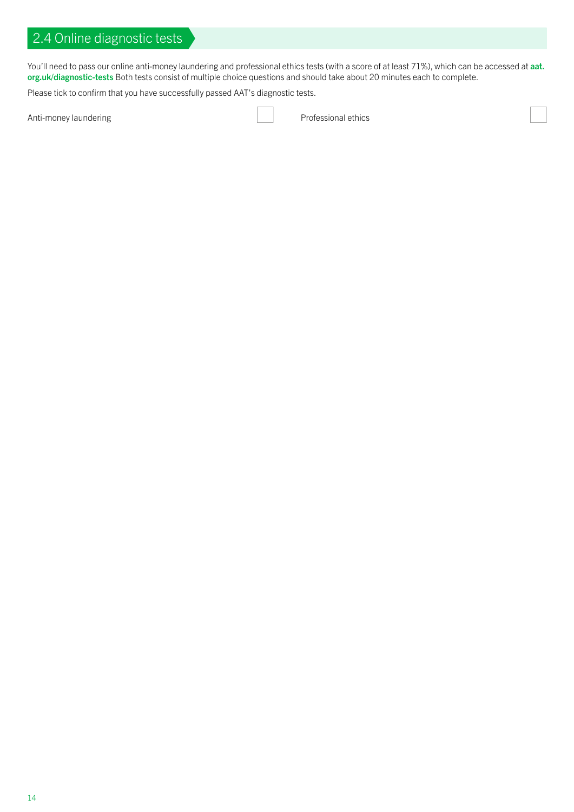You'll need to pass our online anti-money laundering and professional ethics tests (with a score of at least 71%), which can be accessed at [aat.](https://www.aat.org.uk/diagnostic-tests) [org.uk/diagnostic-tests](https://www.aat.org.uk/diagnostic-tests) Both tests consist of multiple choice questions and should take about 20 minutes each to complete.

Please tick to confirm that you have successfully passed AAT's diagnostic tests.

Anti-money laundering **Professional ethics**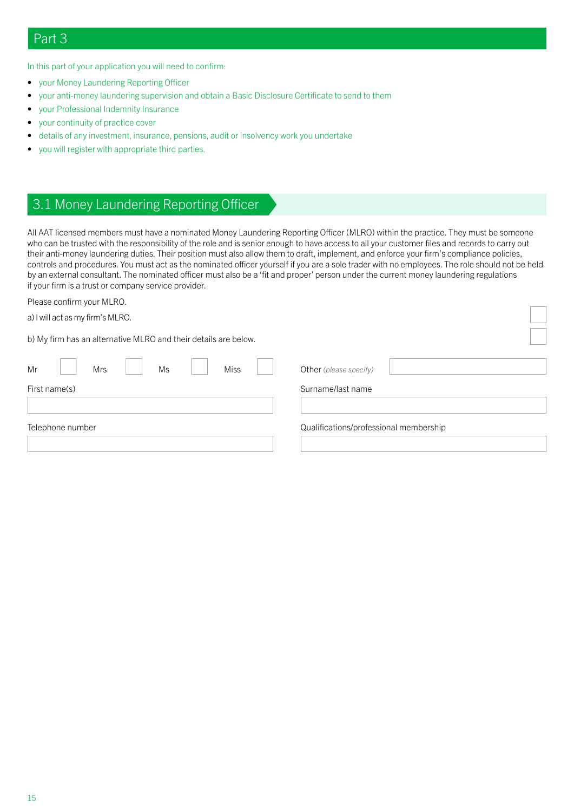In this part of your application you will need to confirm:

- your Money Laundering Reporting Officer
- your anti-money laundering supervision and obtain a Basic Disclosure Certificate to send to them
- your Professional Indemnity Insurance
- your continuity of practice cover
- details of any investment, insurance, pensions, audit or insolvency work you undertake
- you will register with appropriate third parties.

## 3.1 Money Laundering Reporting Officer

All AAT licensed members must have a nominated Money Laundering Reporting Officer (MLRO) within the practice. They must be someone who can be trusted with the responsibility of the role and is senior enough to have access to all your customer files and records to carry out their anti-money laundering duties. Their position must also allow them to draft, implement, and enforce your firm's compliance policies, controls and procedures. You must act as the nominated officer yourself if you are a sole trader with no employees. The role should not be held by an external consultant. The nominated officer must also be a 'fit and proper' person under the current money laundering regulations if your firm is a trust or company service provider.

Please confirm your MLRO.

a) I will act as my firm's MLRO.

b) My firm has an alternative MLRO and their details are below.

| Mr            |                  | Mrs | Ms | Miss |  | Other (please specify)                 |
|---------------|------------------|-----|----|------|--|----------------------------------------|
| First name(s) |                  |     |    |      |  | Surname/last name                      |
|               | Telephone number |     |    |      |  | Qualifications/professional membership |
|               |                  |     |    |      |  |                                        |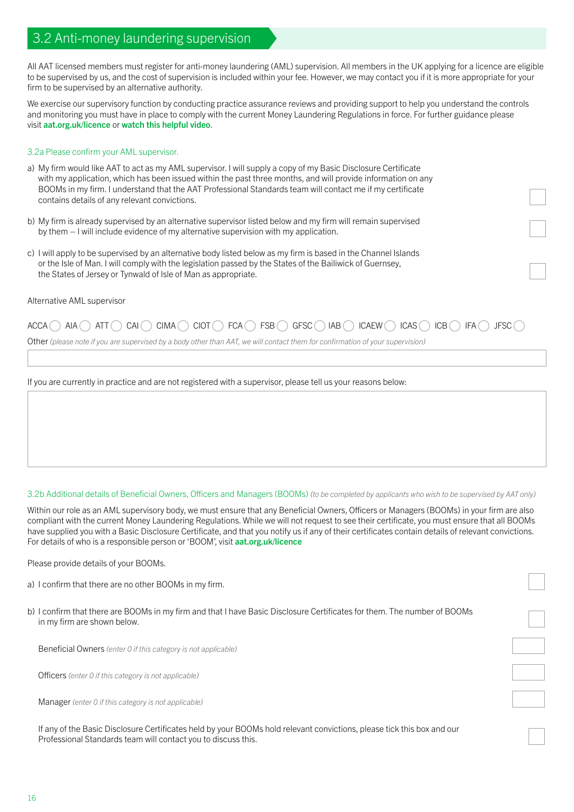## 3.2 Anti-money laundering supervision

All AAT licensed members must register for anti-money laundering (AML) supervision. All members in the UK applying for a licence are eligible to be supervised by us, and the cost of supervision is included within your fee. However, we may contact you if it is more appropriate for your firm to be supervised by an alternative authority.

We exercise our supervisory function by conducting practice assurance reviews and providing support to help you understand the controls and monitoring you must have in place to comply with the current Money Laundering Regulations in force. For further guidance please visit [aat.org.uk/licence](https://aat.org.uk/licence) or [watch this helpful video](https://vimeo.com/595926428/65e3e99b77).

#### 3.2a Please confirm your AML supervisor.

- a) My firm would like AAT to act as my AML supervisor. I will supply a copy of my Basic Disclosure Certificate with my application, which has been issued within the past three months, and will provide information on any BOOMs in my firm. I understand that the AAT Professional Standards team will contact me if my certificate contains details of any relevant convictions.
- b) My firm is already supervised by an alternative supervisor listed below and my firm will remain supervised by them – I will include evidence of my alternative supervision with my application.
- c) I will apply to be supervised by an alternative body listed below as my firm is based in the Channel Islands or the Isle of Man. I will comply with the legislation passed by the States of the Bailiwick of Guernsey, the States of Jersey or Tynwald of Isle of Man as appropriate.

#### Alternative AML supervisor

## $ACCA$   $\cap$   $AIA$   $\cap$   $ATT$   $\cap$   $CAI$   $\cap$   $CIMA$   $\cap$   $CIO$   $\cap$   $FCA$   $\cap$   $FSE$   $\cap$   $GFSC$   $\cap$   $IAB$   $\cap$   $ICAEW$   $\cap$   $ICAS$   $\cap$   $IEG$   $\cap$   $IFSC$   $\cap$

Other *(please note if you are supervised by a body other than AAT, we will contact them for confirmation of your supervision)*

If you are currently in practice and are not registered with a supervisor, please tell us your reasons below:

3.2b Additional details of Beneficial Owners, Officers and Managers (BOOMs) *(to be completed by applicants who wish to be supervised by AAT only)*

Within our role as an AML supervisory body, we must ensure that any Beneficial Owners, Officers or Managers (BOOMs) in your firm are also compliant with the current Money Laundering Regulations. While we will not request to see their certificate, you must ensure that all BOOMs have supplied you with a Basic Disclosure Certificate, and that you notify us if any of their certificates contain details of relevant convictions. For details of who is a responsible person or 'BOOM', visit [aat.org.uk/licence](https://aat.org.uk/licence)

Please provide details of your BOOMs.

- a) I confirm that there are no other BOOMs in my firm.
- b) I confirm that there are BOOMs in my firm and that I have Basic Disclosure Certificates for them. The number of BOOMs in my firm are shown below.

Beneficial Owners *(enter 0 if this category is not applicable)*

Officers *(enter 0 if this category is not applicable)*

Manager *(enter 0 if this category is not applicable)*

If any of the Basic Disclosure Certificates held by your BOOMs hold relevant convictions, please tick this box and our Professional Standards team will contact you to discuss this.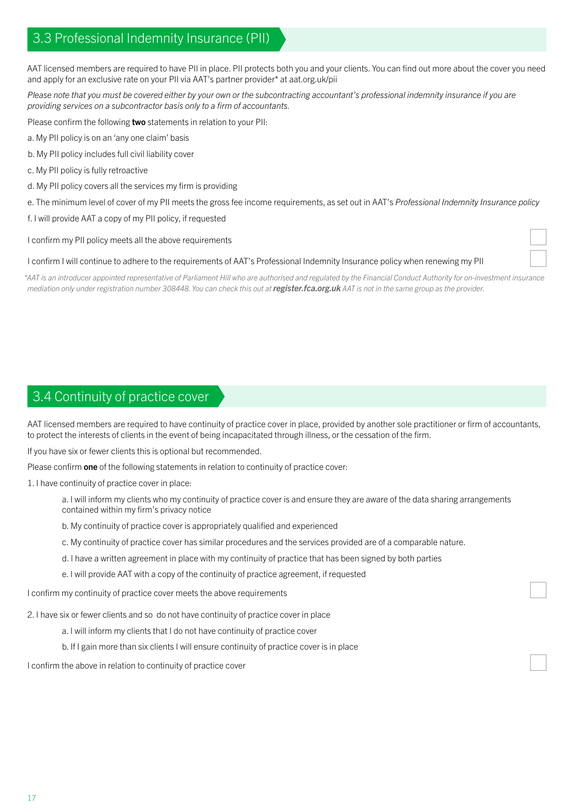## 3.3 Professional Indemnity Insurance (PII)

AAT licensed members are required to have PII in place. PII protects both you and your clients. You can find out more about the cover you need and apply for an exclusive rate on your PII via AAT's partner provider\* at aat.org.uk/pii

*Please note that you must be covered either by your own or the subcontracting accountant's professional indemnity insurance if you are providing services on a subcontractor basis only to a firm of accountants.*

Please confirm the following two statements in relation to your PII:

- a. My PII policy is on an 'any one claim' basis
- b. My PII policy includes full civil liability cover
- c. My PII policy is fully retroactive
- d. My PII policy covers all the services my firm is providing
- e. The minimum level of cover of my PII meets the gross fee income requirements, as set out in AAT's *Professional Indemnity Insurance policy*
- f. I will provide AAT a copy of my PII policy, if requested

I confirm my PII policy meets all the above requirements

#### I confirm I will continue to adhere to the requirements of AAT's Professional Indemnity Insurance policy when renewing my PII

*\*AAT is an introducer appointed representative of Parliament Hill who are authorised and regulated by the Financial Conduct Authority for on-investment insurance mediation only under registration number 308448. You can check this out at [register.fca.org.uk](http://register.fca.org.uk) AAT is not in the same group as the provider.*

## 3.4 Continuity of practice cover

AAT licensed members are required to have continuity of practice cover in place, provided by another sole practitioner or firm of accountants, to protect the interests of clients in the event of being incapacitated through illness, or the cessation of the firm.

If you have six or fewer clients this is optional but recommended.

Please confirm one of the following statements in relation to continuity of practice cover:

1. I have continuity of practice cover in place:

 a. I will inform my clients who my continuity of practice cover is and ensure they are aware of the data sharing arrangements contained within my firm's privacy notice

b. My continuity of practice cover is appropriately qualified and experienced

c. My continuity of practice cover has similar procedures and the services provided are of a comparable nature.

- d. I have a written agreement in place with my continuity of practice that has been signed by both parties
- e. I will provide AAT with a copy of the continuity of practice agreement, if requested

I confirm my continuity of practice cover meets the above requirements

2. I have six or fewer clients and so do not have continuity of practice cover in place

- a. I will inform my clients that I do not have continuity of practice cover
- b. If I gain more than six clients I will ensure continuity of practice cover is in place

I confirm the above in relation to continuity of practice cover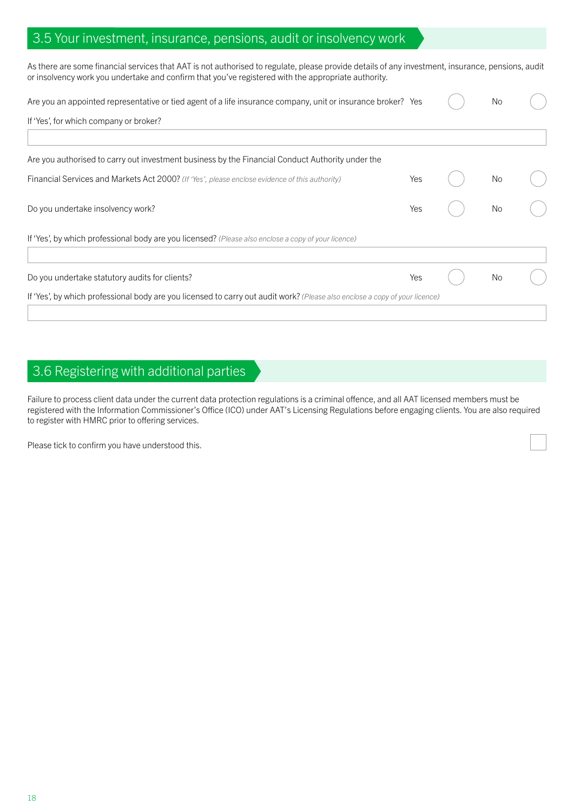## 3.5 Your investment, insurance, pensions, audit or insolvency work

As there are some financial services that AAT is not authorised to regulate, please provide details of any investment, insurance, pensions, audit or insolvency work you undertake and confirm that you've registered with the appropriate authority.

| Are you an appointed representative or tied agent of a life insurance company, unit or insurance broker? Yes                |     | <b>No</b> |  |
|-----------------------------------------------------------------------------------------------------------------------------|-----|-----------|--|
| If 'Yes', for which company or broker?                                                                                      |     |           |  |
| Are you authorised to carry out investment business by the Financial Conduct Authority under the                            |     |           |  |
| Financial Services and Markets Act 2000? (If 'Yes', please enclose evidence of this authority)                              | Yes | <b>No</b> |  |
| Do you undertake insolvency work?                                                                                           | Yes | No        |  |
| If 'Yes', by which professional body are you licensed? (Please also enclose a copy of your licence)                         |     |           |  |
| Do you undertake statutory audits for clients?                                                                              | Yes | <b>No</b> |  |
| If 'Yes', by which professional body are you licensed to carry out audit work? (Please also enclose a copy of your licence) |     |           |  |

## 3.6 Registering with additional parties

Failure to process client data under the current data protection regulations is a criminal offence, and all AAT licensed members must be registered with the Information Commissioner's Office (ICO) under AAT's Licensing Regulations before engaging clients. You are also required to register with HMRC prior to offering services.

Please tick to confirm you have understood this.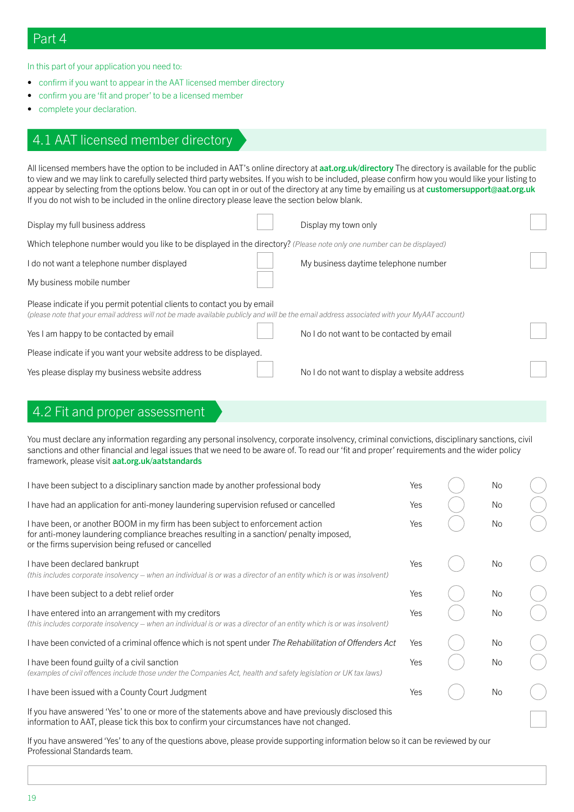## Part 4

In this part of your application you need to:

- confirm if you want to appear in the AAT licensed member directory
- confirm you are 'fit and proper' to be a licensed member
- complete your declaration.

## 4.1 AAT licensed member directory

All licensed members have the option to be included in AAT's online directory at [aat.org.uk/directory](https://aat.org.uk/directory) The directory is available for the public to view and we may link to carefully selected third party websites. If you wish to be included, please confirm how you would like your listing to appear by selecting from the options below. You can opt in or out of the directory at any time by emailing us at customersupport@aat.org.uk If you do not wish to be included in the online directory please leave the section below blank.

| Display my full business address                                                                                                                                                                                      | Display my town only                          |  |  |  |  |  |  |
|-----------------------------------------------------------------------------------------------------------------------------------------------------------------------------------------------------------------------|-----------------------------------------------|--|--|--|--|--|--|
| Which telephone number would you like to be displayed in the directory? (Please note only one number can be displayed)                                                                                                |                                               |  |  |  |  |  |  |
| I do not want a telephone number displayed                                                                                                                                                                            | My business daytime telephone number          |  |  |  |  |  |  |
| My business mobile number                                                                                                                                                                                             |                                               |  |  |  |  |  |  |
| Please indicate if you permit potential clients to contact you by email<br>(please note that your email address will not be made available publicly and will be the email address associated with your MyAAT account) |                                               |  |  |  |  |  |  |
| Yes I am happy to be contacted by email                                                                                                                                                                               | No I do not want to be contacted by email     |  |  |  |  |  |  |
| Please indicate if you want your website address to be displayed.                                                                                                                                                     |                                               |  |  |  |  |  |  |
| Yes please display my business website address                                                                                                                                                                        | No I do not want to display a website address |  |  |  |  |  |  |
|                                                                                                                                                                                                                       |                                               |  |  |  |  |  |  |

## 4.2 Fit and proper assessment

You must declare any information regarding any personal insolvency, corporate insolvency, criminal convictions, disciplinary sanctions, civil sanctions and other financial and legal issues that we need to be aware of. To read our 'fit and proper' requirements and the wider policy framework, please visit [aat.org.uk/aatstandards](https://aat.org.uk/aatstandards)

| I have been subject to a disciplinary sanction made by another professional body                                                                                                                                                 | Yes | <b>No</b> |  |
|----------------------------------------------------------------------------------------------------------------------------------------------------------------------------------------------------------------------------------|-----|-----------|--|
| I have had an application for anti-money laundering supervision refused or cancelled                                                                                                                                             | Yes | No        |  |
| I have been, or another BOOM in my firm has been subject to enforcement action<br>for anti-money laundering compliance breaches resulting in a sanction/ penalty imposed,<br>or the firms supervision being refused or cancelled | Yes | No        |  |
| I have been declared bankrupt<br>(this includes corporate insolvency – when an individual is or was a director of an entity which is or was insolvent)                                                                           | Yes | No        |  |
| I have been subject to a debt relief order                                                                                                                                                                                       | Yes | No        |  |
| I have entered into an arrangement with my creditors<br>(this includes corporate insolvency – when an individual is or was a director of an entity which is or was insolvent)                                                    | Yes | No.       |  |
| I have been convicted of a criminal offence which is not spent under The Rehabilitation of Offenders Act                                                                                                                         | Yes | No        |  |
| I have been found guilty of a civil sanction<br>(examples of civil offences include those under the Companies Act, health and safety legislation or UK tax laws)                                                                 | Yes | No.       |  |
| I have been issued with a County Court Judgment                                                                                                                                                                                  | Yes | No.       |  |
| If you have answered 'Yes' to one or more of the statements above and have previously disclosed this<br>information to AAT, please tick this box to confirm your circumstances have not changed.                                 |     |           |  |

If you have answered 'Yes' to any of the questions above, please provide supporting information below so it can be reviewed by our Professional Standards team.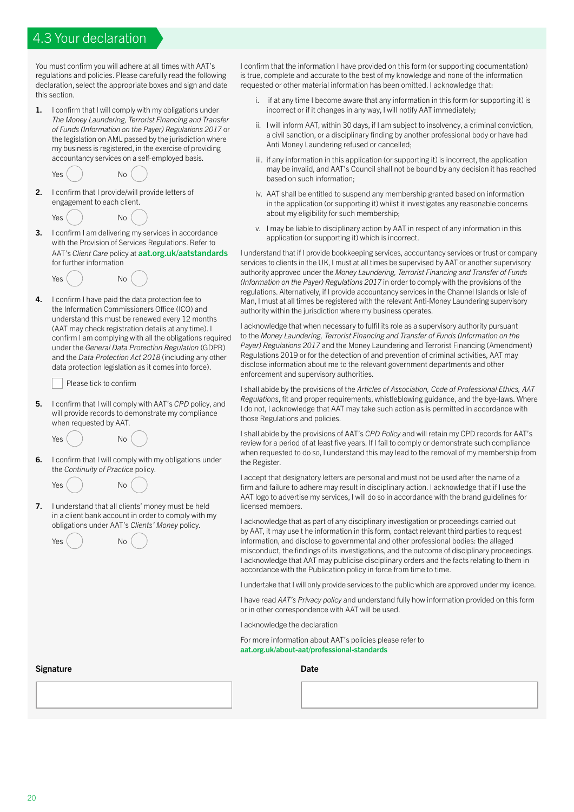## 4.3 Your declaration

You must confirm you will adhere at all times with AAT's regulations and policies. Please carefully read the following declaration, select the appropriate boxes and sign and date this section.

1. I confirm that I will comply with my obligations under *The Money Laundering, Terrorist Financing and Transfer of Funds (Information on the Payer) Regulations 2017* or the legislation on AML passed by the jurisdiction where my business is registered, in the exercise of providing accountancy services on a self-employed basis.

 $Yes()$  No

- 2. I confirm that I provide/will provide letters of engagement to each client.
	- $Yes()$  No
- 3. I confirm I am delivering my services in accordance with the Provision of Services Regulations. Refer to AAT's *Client Care* policy at [aat.org.uk/aatstandards](https://aat.org.uk/aatstandards) for further information
	- Yes ( ) No
- 4. I confirm I have paid the data protection fee to the Information Commissioners Office (ICO) and understand this must be renewed every 12 months (AAT may check registration details at any time). I confirm I am complying with all the obligations required under the *General Data Protection Regulation* (GDPR) and the *Data Protection Act 2018* (including any other data protection legislation as it comes into force).

Please tick to confirm

- 5. I confirm that I will comply with AAT's *CPD* policy, and will provide records to demonstrate my compliance when requested by AAT.
	- $Yes()$  No
- 6. I confirm that I will comply with my obligations under the *Continuity of Practice* policy.



7. I understand that all clients' money must be held in a client bank account in order to comply with my obligations under AAT's *Clients' Money* policy.

Yes () No

I confirm that the information I have provided on this form (or supporting documentation) is true, complete and accurate to the best of my knowledge and none of the information requested or other material information has been omitted. I acknowledge that:

- i. if at any time I become aware that any information in this form (or supporting it) is incorrect or if it changes in any way, I will notify AAT immediately;
- ii. I will inform AAT, within 30 days, if I am subject to insolvency, a criminal conviction, a civil sanction, or a disciplinary finding by another professional body or have had Anti Money Laundering refused or cancelled;
- iii. if any information in this application (or supporting it) is incorrect, the application may be invalid, and AAT's Council shall not be bound by any decision it has reached based on such information;
- iv. AAT shall be entitled to suspend any membership granted based on information in the application (or supporting it) whilst it investigates any reasonable concerns about my eligibility for such membership;
- v. I may be liable to disciplinary action by AAT in respect of any information in this application (or supporting it) which is incorrect.

I understand that if I provide bookkeeping services, accountancy services or trust or company services to clients in the UK, I must at all times be supervised by AAT or another supervisory authority approved under the *Money Laundering, Terrorist Financing and Transfer of Funds (Information on the Payer) Regulations 2017* in order to comply with the provisions of the regulations. Alternatively, if I provide accountancy services in the Channel Islands or Isle of Man, I must at all times be registered with the relevant Anti-Money Laundering supervisory authority within the jurisdiction where my business operates.

I acknowledge that when necessary to fulfil its role as a supervisory authority pursuant to the *Money Laundering, Terrorist Financing and Transfer of Funds (Information on the Payer) Regulations 2017* and the Money Laundering and Terrorist Financing (Amendment) Regulations 2019 or for the detection of and prevention of criminal activities, AAT may disclose information about me to the relevant government departments and other enforcement and supervisory authorities.

I shall abide by the provisions of the *Articles of Association, Code of Professional Ethics, AAT Regulations*, fit and proper requirements, whistleblowing guidance, and the bye-laws. Where I do not, I acknowledge that AAT may take such action as is permitted in accordance with those Regulations and policies.

I shall abide by the provisions of AAT's *CPD Policy* and will retain my CPD records for AAT's review for a period of at least five years. If I fail to comply or demonstrate such compliance when requested to do so, I understand this may lead to the removal of my membership from the Register.

I accept that designatory letters are personal and must not be used after the name of a firm and failure to adhere may result in disciplinary action. I acknowledge that if I use the AAT logo to advertise my services, I will do so in accordance with the brand guidelines for licensed members.

I acknowledge that as part of any disciplinary investigation or proceedings carried out by AAT, it may use t he information in this form, contact relevant third parties to request information, and disclose to governmental and other professional bodies: the alleged misconduct, the findings of its investigations, and the outcome of disciplinary proceedings. I acknowledge that AAT may publicise disciplinary orders and the facts relating to them in accordance with the Publication policy in force from time to time.

I undertake that I will only provide services to the public which are approved under my licence.

I have read *AAT's Privacy policy* and understand fully how information provided on this form or in other correspondence with AAT will be used.

I acknowledge the declaration

For more information about AAT's policies please refer to [aat.org.uk/about-aat/professional-standards](http://aat.org.uk/about-aat/professional-standards)

#### Signature Date Date of the Contract of the Contract of the Date Date Date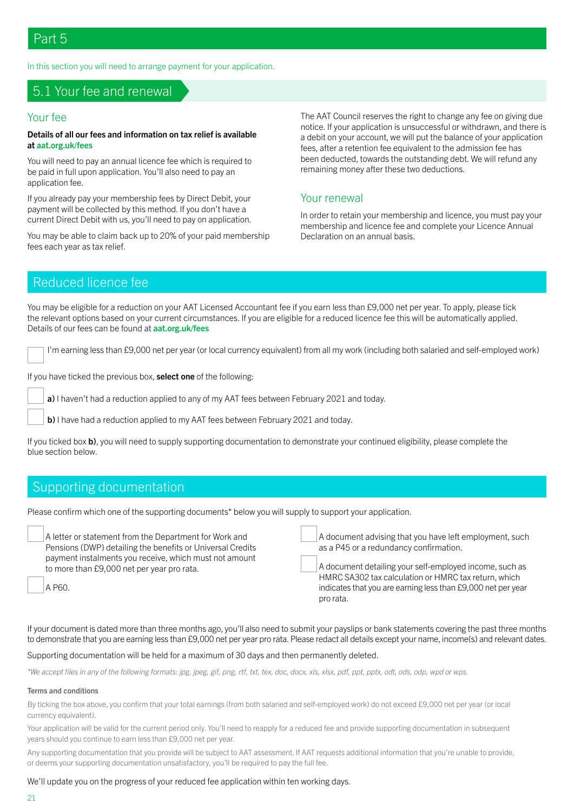In this section you will need to arrange payment for your application.

## 5.1 Your fee and renewal

#### Your fee

#### Details of all our fees and information on tax relief is available at<aat.org.uk/fees>

You will need to pay an annual licence fee which is required to be paid in full upon application. You'll also need to pay an application fee.

If you already pay your membership fees by Direct Debit, your payment will be collected by this method. If you don't have a current Direct Debit with us, you'll need to pay on application.

You may be able to claim back up to 20% of your paid membership fees each year as tax relief.

The AAT Council reserves the right to change any fee on giving due notice. If your application is unsuccessful or withdrawn, and there is a debit on your account, we will put the balance of your application fees, after a retention fee equivalent to the admission fee has been deducted, towards the outstanding debt. We will refund any remaining money after these two deductions.

#### Your renewal

In order to retain your membership and licence, you must pay your membership and licence fee and complete your Licence Annual Declaration on an annual basis.

## Reduced licence fee

You may be eligible for a reduction on your AAT Licensed Accountant fee if you earn less than £9,000 net per year. To apply, please tick the relevant options based on your current circumstances. If you are eligible for a reduced licence fee this will be automatically applied. Details of our fees can be found at **aat.org.uk/fees** 

I'm earning less than £9,000 net per year (or local currency equivalent) from all my work (including both salaried and self-employed work)

If you have ticked the previous box, select one of the following:

a) I haven't had a reduction applied to any of my AAT fees between February 2021 and today.

b) I have had a reduction applied to my AAT fees between February 2021 and today.

If you ticked box b), you will need to supply supporting documentation to demonstrate your continued eligibility, please complete the blue section below.

## Supporting documentation

Please confirm which one of the supporting documents\* below you will supply to support your application.

| A letter or statement from the Department for Work and     | A document advising that you have left employment, such      |
|------------------------------------------------------------|--------------------------------------------------------------|
| Pensions (DWP) detailing the benefits or Universal Credits | as a P45 or a redundancy confirmation.                       |
| payment instalments you receive, which must not amount     | A document detailing your self-employed income, such as      |
| to more than £9,000 net per year pro rata.                 | HMRC SA302 tax calculation or HMRC tax return, which         |
| A P60.                                                     | indicates that you are earning less than £9,000 net per year |
|                                                            | pro rata.                                                    |

If your document is dated more than three months ago, you'll also need to submit your payslips or bank statements covering the past three months to demonstrate that you are earning less than £9,000 net per year pro rata. Please redact all details except your name, income(s) and relevant dates.

#### Supporting documentation will be held for a maximum of 30 days and then permanently deleted.

*\*We accept files in any of the following formats: jpg, jpeg, gif, png, rtf, txt, tex, doc, docx, xls, xlsx, pdf, ppt, pptx, odt, ods, odp, wpd or wps.*

#### Terms and conditions

By ticking the box above, you confirm that your total earnings (from both salaried and self-employed work) do not exceed £9,000 net per year (or local currency equivalent).

Your application will be valid for the current period only. You'll need to reapply for a reduced fee and provide supporting documentation in subsequent years should you continue to earn less than £9,000 net per year.

Any supporting documentation that you provide will be subject to AAT assessment. If AAT requests additional information that you're unable to provide, or deems your supporting documentation unsatisfactory, you'll be required to pay the full fee.

#### We'll update you on the progress of your reduced fee application within ten working days.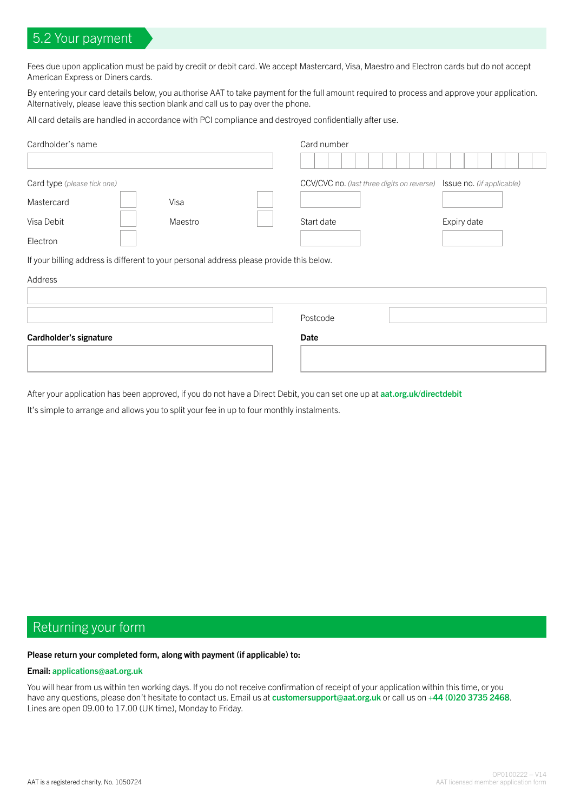## 5.2 Your payment

Fees due upon application must be paid by credit or debit card. We accept Mastercard, Visa, Maestro and Electron cards but do not accept American Express or Diners cards.

By entering your card details below, you authorise AAT to take payment for the full amount required to process and approve your application. Alternatively, please leave this section blank and call us to pay over the phone.

All card details are handled in accordance with PCI compliance and destroyed confidentially after use.

| Cardholder's name                                                                        |         | Card number                                                          |             |
|------------------------------------------------------------------------------------------|---------|----------------------------------------------------------------------|-------------|
|                                                                                          |         |                                                                      |             |
| Card type (please tick one)                                                              |         | CCV/CVC no. (last three digits on reverse) Issue no. (if applicable) |             |
| Mastercard                                                                               | Visa    |                                                                      |             |
| Visa Debit                                                                               | Maestro | Start date                                                           | Expiry date |
| Electron                                                                                 |         |                                                                      |             |
| If your billing address is different to your personal address please provide this below. |         |                                                                      |             |

## Address

|                        | Postcode |
|------------------------|----------|
| Cardholder's signature | Date     |
|                        |          |
|                        |          |

After your application has been approved, if you do not have a Direct Debit, you can set one up at <aat.org.uk/directdebit>

It's simple to arrange and allows you to split your fee in up to four monthly instalments.

## Returning your form

#### Please return your completed form, along with payment (if applicable) to:

#### Email: [applications@aat.org.uk](mailto:applications%40aat.org.uk?subject=)

You will hear from us within ten working days. If you do not receive confirmation of receipt of your application within this time, or you have any questions, please don't hesitate to contact us. Email us at [customersupport@aat.org.uk](mailto:?subject=) or call us on +44 (0)20 3735 2468. Lines are open 09.00 to 17.00 (UK time), Monday to Friday.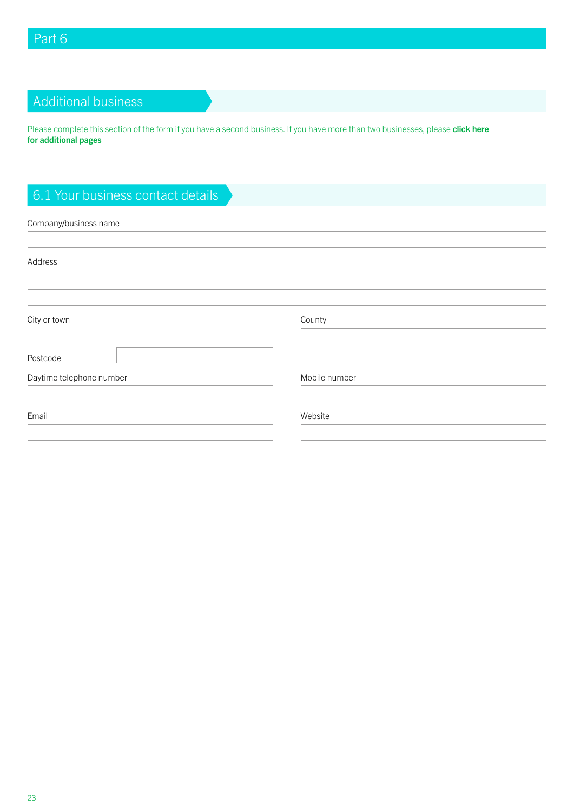# Additional business

Please complete this section of the form if you have a second business. If you have more than two businesses, please click here for additional pages

# 6.1 Your business contact details

#### Company/business name

| Address                  |               |
|--------------------------|---------------|
|                          |               |
|                          |               |
| City or town             | County        |
|                          |               |
| Postcode                 |               |
| Daytime telephone number | Mobile number |
|                          |               |
| Email                    | Website       |
|                          |               |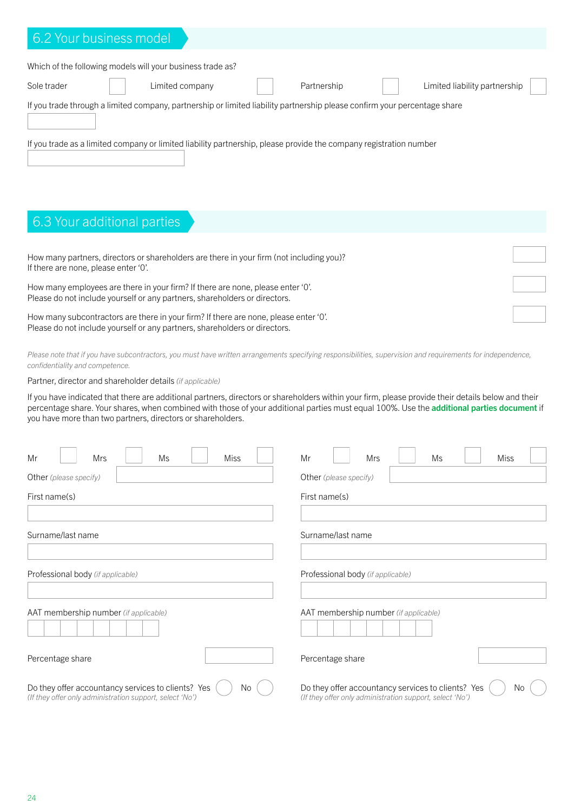| 6.2 Your business model                                                                                                   |                 |             |                               |
|---------------------------------------------------------------------------------------------------------------------------|-----------------|-------------|-------------------------------|
|                                                                                                                           |                 |             |                               |
| Which of the following models will your business trade as?                                                                |                 |             |                               |
| Sole trader                                                                                                               | Limited company | Partnership | Limited liability partnership |
| If you trade through a limited company, partnership or limited liability partnership please confirm your percentage share |                 |             |                               |
| If you trade as a limited company or limited liability partnership, please provide the company registration number        |                 |             |                               |

# 6.3 Your additional parties

| How many partners, directors or shareholders are there in your firm (not including you)? |  |
|------------------------------------------------------------------------------------------|--|
| If there are none, please enter '0'.                                                     |  |
| How many employees are there in your firm? If there are none, please enter 'O'.          |  |
| Please do not include yourself or any partners, shareholders or directors.               |  |
| How many subcontractors are there in your firm? If there are none, please enter 'O'.     |  |
| Please do not include yourself or any partners, shareholders or directors.               |  |

*Please note that if you have subcontractors, you must have written arrangements specifying responsibilities, supervision and requirements for independence, confidentiality and competence.*

Partner, director and shareholder details *(if applicable)*

If you have indicated that there are additional partners, directors or shareholders within your firm, please provide their details below and their percentage share. Your shares, when combined with those of your additional parties must equal 100%. Use the additional parties document if you have more than two partners, directors or shareholders.

| Mr<br>Mrs<br>Ms<br>Miss                                                                                              | Mr<br>Mrs<br>Ms<br><b>Miss</b>                                                                                       |
|----------------------------------------------------------------------------------------------------------------------|----------------------------------------------------------------------------------------------------------------------|
| Other (please specify)                                                                                               | Other (please specify)                                                                                               |
| First name(s)                                                                                                        | First name(s)                                                                                                        |
|                                                                                                                      |                                                                                                                      |
| Surname/last name                                                                                                    | Surname/last name                                                                                                    |
|                                                                                                                      |                                                                                                                      |
| Professional body (if applicable)                                                                                    | Professional body (if applicable)                                                                                    |
|                                                                                                                      |                                                                                                                      |
| AAT membership number (if applicable)                                                                                | AAT membership number (if applicable)                                                                                |
| Percentage share                                                                                                     | Percentage share                                                                                                     |
| Do they offer accountancy services to clients? Yes<br>No<br>(If they offer only administration support, select 'No') | Do they offer accountancy services to clients? Yes<br>No<br>(If they offer only administration support, select 'No') |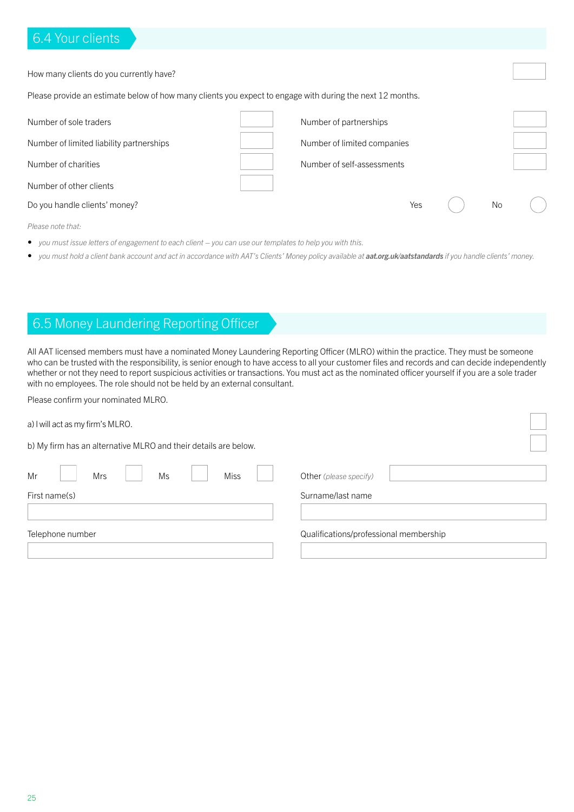## 6.4 Your clients

| How many clients do you currently have?                                                                   |  |                             |     |  |    |  |
|-----------------------------------------------------------------------------------------------------------|--|-----------------------------|-----|--|----|--|
| Please provide an estimate below of how many clients you expect to engage with during the next 12 months. |  |                             |     |  |    |  |
| Number of sole traders                                                                                    |  | Number of partnerships      |     |  |    |  |
| Number of limited liability partnerships                                                                  |  | Number of limited companies |     |  |    |  |
| Number of charities                                                                                       |  | Number of self-assessments  |     |  |    |  |
| Number of other clients                                                                                   |  |                             |     |  |    |  |
| Do you handle clients' money?                                                                             |  |                             | Yes |  | No |  |

*Please note that:*

- *• you must issue letters of engagement to each client you can use our templates to help you with this.*
- you must hold a client bank account and act in accordance with AAT's Clients' Money policy available at **[aat.org.uk/aatstandards](https://aat.org.uk/aatstandards)** if you handle clients' money.

## 6.5 Money Laundering Reporting Officer

All AAT licensed members must have a nominated Money Laundering Reporting Officer (MLRO) within the practice. They must be someone who can be trusted with the responsibility, is senior enough to have access to all your customer files and records and can decide independently whether or not they need to report suspicious activities or transactions. You must act as the nominated officer yourself if you are a sole trader with no employees. The role should not be held by an external consultant.

Please confirm your nominated MLRO.

| a) I will act as my firm's MLRO.                                |                                        |
|-----------------------------------------------------------------|----------------------------------------|
| b) My firm has an alternative MLRO and their details are below. |                                        |
| Mr<br><b>Mrs</b><br><b>Miss</b><br>Ms                           | Other (please specify)                 |
| First name(s)                                                   | Surname/last name                      |
| Telephone number                                                | Qualifications/professional membership |
|                                                                 |                                        |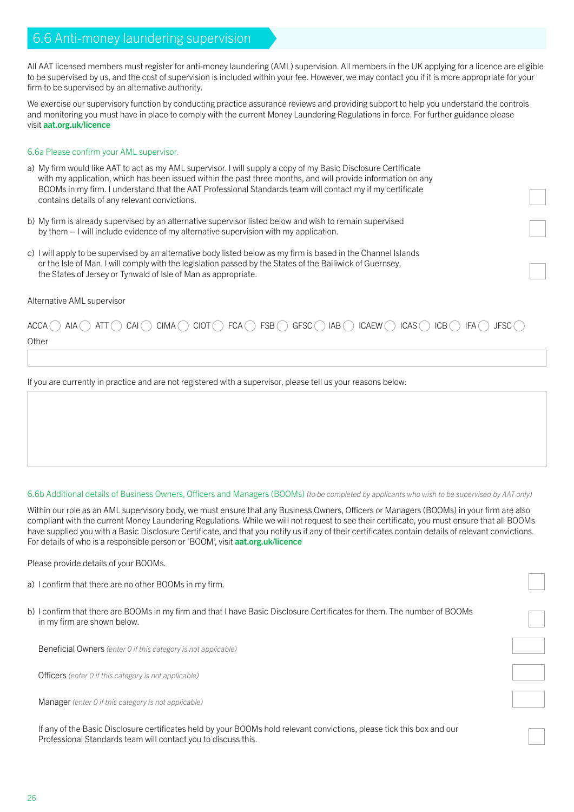## 6.6 Anti-money laundering supervision

All AAT licensed members must register for anti-money laundering (AML) supervision. All members in the UK applying for a licence are eligible to be supervised by us, and the cost of supervision is included within your fee. However, we may contact you if it is more appropriate for your firm to be supervised by an alternative authority.

We exercise our supervisory function by conducting practice assurance reviews and providing support to help you understand the controls and monitoring you must have in place to comply with the current Money Laundering Regulations in force. For further guidance please visit [aat.org.uk/licence](https://aat.org.uk/licence)

#### 6.6a Please confirm your AML supervisor.

- a) My firm would like AAT to act as my AML supervisor. I will supply a copy of my Basic Disclosure Certificate with my application, which has been issued within the past three months, and will provide information on any BOOMs in my firm. I understand that the AAT Professional Standards team will contact my if my certificate contains details of any relevant convictions.
- b) My firm is already supervised by an alternative supervisor listed below and wish to remain supervised by them – I will include evidence of my alternative supervision with my application.
- c) I will apply to be supervised by an alternative body listed below as my firm is based in the Channel Islands or the Isle of Man. I will comply with the legislation passed by the States of the Bailiwick of Guernsey, the States of Jersey or Tynwald of Isle of Man as appropriate.

#### Alternative AML supervisor

# $ACCA$  aia att  $\bigcirc$  cai  $\bigcirc$  cima  $\bigcirc$  ciot  $\bigcirc$  fca  $\bigcirc$  fSB  $\bigcirc$  gFSC  $\bigcirc$  iAB  $\bigcirc$  iCaew  $\bigcirc$  iCas  $\bigcirc$  iCB  $\bigcirc$  iFa  $\bigcirc$  jFSC  $\bigcirc$

**Other** 

If you are currently in practice and are not registered with a supervisor, please tell us your reasons below:

6.6b Additional details of Business Owners, Officers and Managers (BOOMs) *(to be completed by applicants who wish to be supervised by AAT only)*

Within our role as an AML supervisory body, we must ensure that any Business Owners, Officers or Managers (BOOMs) in your firm are also compliant with the current Money Laundering Regulations. While we will not request to see their certificate, you must ensure that all BOOMs have supplied you with a Basic Disclosure Certificate, and that you notify us if any of their certificates contain details of relevant convictions. For details of who is a responsible person or 'BOOM', visit [aat.org.uk/licence](https://aat.org.uk/licence)

Please provide details of your BOOMs.

- a) I confirm that there are no other BOOMs in my firm.
- b) I confirm that there are BOOMs in my firm and that I have Basic Disclosure Certificates for them. The number of BOOMs in my firm are shown below.

Beneficial Owners *(enter 0 if this category is not applicable)*

Officers *(enter 0 if this category is not applicable)*

Manager *(enter 0 if this category is not applicable)*

If any of the Basic Disclosure certificates held by your BOOMs hold relevant convictions, please tick this box and our Professional Standards team will contact you to discuss this.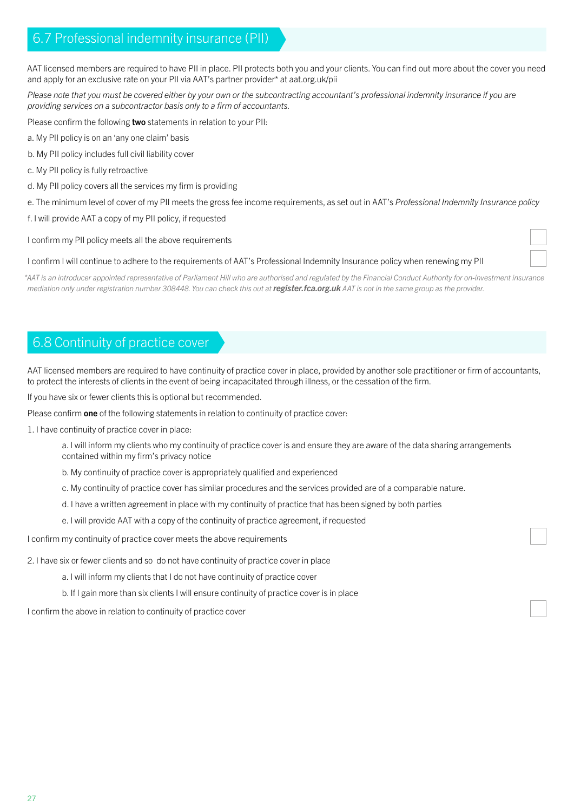## 6.7 Professional indemnity insurance (PII)

AAT licensed members are required to have PII in place. PII protects both you and your clients. You can find out more about the cover you need and apply for an exclusive rate on your PII via AAT's partner provider\* at aat.org.uk/pii

*Please note that you must be covered either by your own or the subcontracting accountant's professional indemnity insurance if you are providing services on a subcontractor basis only to a firm of accountants.*

Please confirm the following two statements in relation to your PII:

- a. My PII policy is on an 'any one claim' basis
- b. My PII policy includes full civil liability cover
- c. My PII policy is fully retroactive
- d. My PII policy covers all the services my firm is providing
- e. The minimum level of cover of my PII meets the gross fee income requirements, as set out in AAT's *Professional Indemnity Insurance policy*
- f. I will provide AAT a copy of my PII policy, if requested

I confirm my PII policy meets all the above requirements

#### I confirm I will continue to adhere to the requirements of AAT's Professional Indemnity Insurance policy when renewing my PII

*\*AAT is an introducer appointed representative of Parliament Hill who are authorised and regulated by the Financial Conduct Authority for on-investment insurance mediation only under registration number 308448. You can check this out at [register.fca.org.uk](http://register.fca.org.uk) AAT is not in the same group as the provider.*

## 6.8 Continuity of practice cover

AAT licensed members are required to have continuity of practice cover in place, provided by another sole practitioner or firm of accountants, to protect the interests of clients in the event of being incapacitated through illness, or the cessation of the firm.

If you have six or fewer clients this is optional but recommended.

Please confirm one of the following statements in relation to continuity of practice cover:

1. I have continuity of practice cover in place:

 a. I will inform my clients who my continuity of practice cover is and ensure they are aware of the data sharing arrangements contained within my firm's privacy notice

- b. My continuity of practice cover is appropriately qualified and experienced
- c. My continuity of practice cover has similar procedures and the services provided are of a comparable nature.
- d. I have a written agreement in place with my continuity of practice that has been signed by both parties
- e. I will provide AAT with a copy of the continuity of practice agreement, if requested

I confirm my continuity of practice cover meets the above requirements

- 2. I have six or fewer clients and so do not have continuity of practice cover in place
	- a. I will inform my clients that I do not have continuity of practice cover
	- b. If I gain more than six clients I will ensure continuity of practice cover is in place

I confirm the above in relation to continuity of practice cover